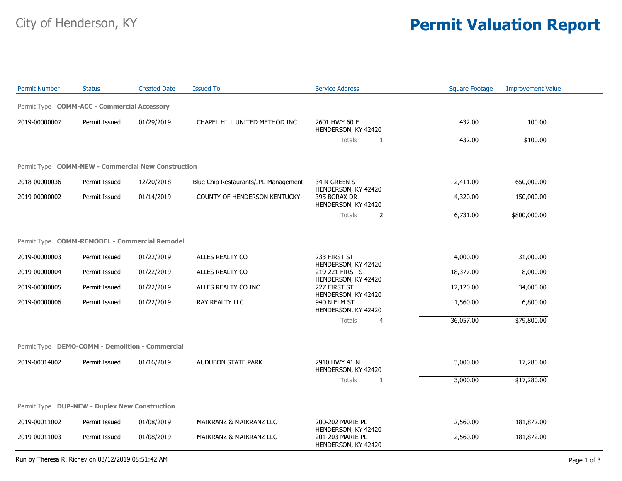## City of Henderson, KY **Permit Valuation Report**

| <b>Permit Number</b>                               | <b>Status</b> | <b>Created Date</b> | <b>Issued To</b>                     | <b>Service Address</b>                                         | <b>Square Footage</b> | <b>Improvement Value</b> |  |
|----------------------------------------------------|---------------|---------------------|--------------------------------------|----------------------------------------------------------------|-----------------------|--------------------------|--|
| Permit Type COMM-ACC - Commercial Accessory        |               |                     |                                      |                                                                |                       |                          |  |
| 2019-00000007                                      | Permit Issued | 01/29/2019          | CHAPEL HILL UNITED METHOD INC        | 2601 HWY 60 E<br>HENDERSON, KY 42420                           | 432.00                | 100.00                   |  |
|                                                    |               |                     |                                      | Totals<br>$\mathbf{1}$                                         | 432.00                | \$100.00                 |  |
| Permit Type COMM-NEW - Commercial New Construction |               |                     |                                      |                                                                |                       |                          |  |
| 2018-00000036                                      | Permit Issued | 12/20/2018          | Blue Chip Restaurants/JPL Management | 34 N GREEN ST                                                  | 2,411.00              | 650,000.00               |  |
| 2019-00000002                                      | Permit Issued | 01/14/2019          | COUNTY OF HENDERSON KENTUCKY         | HENDERSON, KY 42420<br>395 BORAX DR<br>HENDERSON, KY 42420     | 4,320.00              | 150,000.00               |  |
|                                                    |               |                     |                                      | Totals<br>$\overline{2}$                                       | 6,731.00              | \$800,000.00             |  |
| Permit Type COMM-REMODEL - Commercial Remodel      |               |                     |                                      |                                                                |                       |                          |  |
| 2019-00000003                                      | Permit Issued | 01/22/2019          | ALLES REALTY CO                      | 233 FIRST ST                                                   | 4,000.00              | 31,000.00                |  |
| 2019-00000004                                      | Permit Issued | 01/22/2019          | ALLES REALTY CO                      | HENDERSON, KY 42420<br>219-221 FIRST ST                        | 18,377.00             | 8,000.00                 |  |
| 2019-00000005                                      | Permit Issued | 01/22/2019          | ALLES REALTY CO INC                  | HENDERSON, KY 42420<br>227 FIRST ST                            | 12,120.00             | 34,000.00                |  |
| 2019-00000006                                      | Permit Issued | 01/22/2019          | RAY REALTY LLC                       | HENDERSON, KY 42420<br>940 N ELM ST<br>HENDERSON, KY 42420     | 1,560.00              | 6,800.00                 |  |
|                                                    |               |                     |                                      | Totals<br>$\overline{4}$                                       | 36,057.00             | \$79,800.00              |  |
| Permit Type DEMO-COMM - Demolition - Commercial    |               |                     |                                      |                                                                |                       |                          |  |
| 2019-00014002                                      | Permit Issued | 01/16/2019          | AUDUBON STATE PARK                   | 2910 HWY 41 N<br>HENDERSON, KY 42420                           | 3,000.00              | 17,280.00                |  |
|                                                    |               |                     |                                      | Totals<br>$\mathbf{1}$                                         | 3,000.00              | \$17,280.00              |  |
| Permit Type DUP-NEW - Duplex New Construction      |               |                     |                                      |                                                                |                       |                          |  |
| 2019-00011002                                      | Permit Issued | 01/08/2019          | MAIKRANZ & MAIKRANZ LLC              | 200-202 MARIE PL                                               | 2,560.00              | 181,872.00               |  |
| 2019-00011003                                      | Permit Issued | 01/08/2019          | MAIKRANZ & MAIKRANZ LLC              | HENDERSON, KY 42420<br>201-203 MARIE PL<br>HENDERSON, KY 42420 | 2,560.00              | 181,872.00               |  |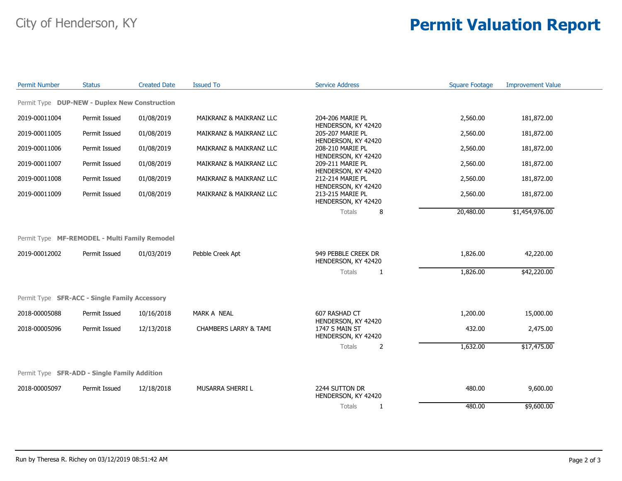## City of Henderson, KY **Permit Valuation Report**

| <b>Permit Number</b> | <b>Status</b>                                 | <b>Created Date</b> | <b>Issued To</b>                 | <b>Service Address</b>                     | <b>Square Footage</b> | <b>Improvement Value</b> |
|----------------------|-----------------------------------------------|---------------------|----------------------------------|--------------------------------------------|-----------------------|--------------------------|
|                      | Permit Type DUP-NEW - Duplex New Construction |                     |                                  |                                            |                       |                          |
| 2019-00011004        | Permit Issued                                 | 01/08/2019          | MAIKRANZ & MAIKRANZ LLC          | 204-206 MARIE PL<br>HENDERSON, KY 42420    | 2,560.00              | 181,872.00               |
| 2019-00011005        | Permit Issued                                 | 01/08/2019          | MAIKRANZ & MAIKRANZ LLC          | 205-207 MARIE PL<br>HENDERSON, KY 42420    | 2,560.00              | 181,872.00               |
| 2019-00011006        | Permit Issued                                 | 01/08/2019          | MAIKRANZ & MAIKRANZ LLC          | 208-210 MARIE PL<br>HENDERSON, KY 42420    | 2,560.00              | 181,872.00               |
| 2019-00011007        | Permit Issued                                 | 01/08/2019          | MAIKRANZ & MAIKRANZ LLC          | 209-211 MARIE PL<br>HENDERSON, KY 42420    | 2,560.00              | 181,872.00               |
| 2019-00011008        | Permit Issued                                 | 01/08/2019          | MAIKRANZ & MAIKRANZ LLC          | 212-214 MARIE PL<br>HENDERSON, KY 42420    | 2,560.00              | 181,872.00               |
| 2019-00011009        | Permit Issued                                 | 01/08/2019          | MAIKRANZ & MAIKRANZ LLC          | 213-215 MARIE PL<br>HENDERSON, KY 42420    | 2,560.00              | 181,872.00               |
|                      |                                               |                     |                                  | 8<br>Totals                                | 20,480.00             | \$1,454,976.00           |
|                      |                                               |                     |                                  |                                            |                       |                          |
|                      | Permit Type MF-REMODEL - Multi Family Remodel |                     |                                  |                                            |                       |                          |
| 2019-00012002        | Permit Issued                                 | 01/03/2019          | Pebble Creek Apt                 | 949 PEBBLE CREEK DR<br>HENDERSON, KY 42420 | 1,826.00              | 42,220.00                |
|                      |                                               |                     |                                  | <b>Totals</b><br>$\mathbf{1}$              | 1,826.00              | \$42,220.00              |
|                      | Permit Type SFR-ACC - Single Family Accessory |                     |                                  |                                            |                       |                          |
| 2018-00005088        | Permit Issued                                 | 10/16/2018          | MARK A NEAL                      | 607 RASHAD CT<br>HENDERSON, KY 42420       | 1,200.00              | 15,000.00                |
| 2018-00005096        | Permit Issued                                 | 12/13/2018          | <b>CHAMBERS LARRY &amp; TAMI</b> | 1747 S MAIN ST<br>HENDERSON, KY 42420      | 432.00                | 2,475.00                 |
|                      |                                               |                     |                                  | Totals<br>2                                | 1,632.00              | \$17,475.00              |
|                      | Permit Type SFR-ADD - Single Family Addition  |                     |                                  |                                            |                       |                          |
|                      |                                               |                     |                                  |                                            |                       |                          |
| 2018-00005097        | Permit Issued                                 | 12/18/2018          | MUSARRA SHERRI L                 | 2244 SUTTON DR<br>HENDERSON, KY 42420      | 480.00                | 9,600.00                 |
|                      |                                               |                     |                                  | Totals<br>$\mathbf{1}$                     | 480.00                | \$9,600.00               |